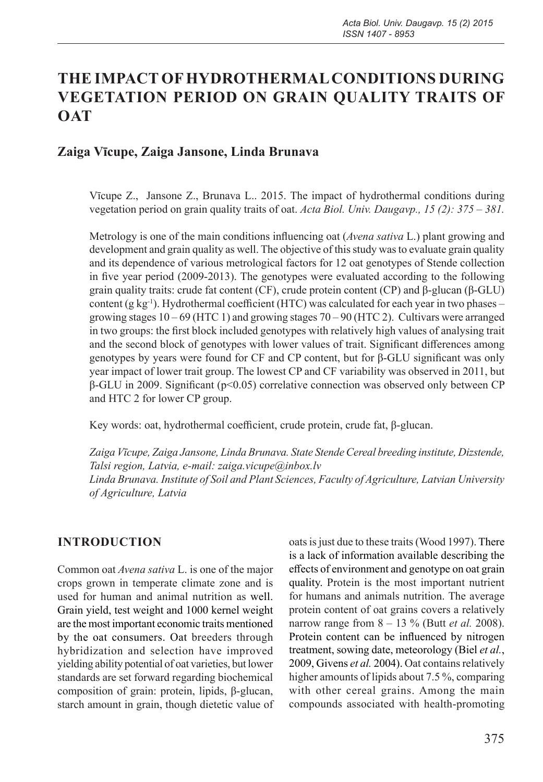# **THE IMPACT OF HYDROTHERMAL CONDITIONS DURING VEGETATION PERIOD ON GRAIN QUALITY TRAITS OF OAT**

### **Zaiga Vīcupe, Zaiga Jansone, Linda Brunava**

Vīcupe Z., Jansone Z., Brunava L.. 2015. The impact of hydrothermal conditions during vegetation period on grain quality traits of oat. *Acta Biol. Univ. Daugavp., 15 (2): 375 – 381.*

Metrology is one of the main conditions influencing oat (*Avena sativa* L.) plant growing and development and grain quality as well. The objective of this study was to evaluate grain quality and its dependence of various metrological factors for 12 oat genotypes of Stende collection in five year period (2009-2013). The genotypes were evaluated according to the following grain quality traits: crude fat content (CF), crude protein content (CP) and β-glucan (β-GLU) content  $(g \ kg^{-1})$ . Hydrothermal coefficient (HTC) was calculated for each year in two phases – growing stages 10 – 69 (HTC 1) and growing stages 70 – 90 (HTC 2). Cultivars were arranged in two groups: the first block included genotypes with relatively high values of analysing trait and the second block of genotypes with lower values of trait. Significant differences among genotypes by years were found for CF and CP content, but for β-GLU significant was only year impact of lower trait group. The lowest CP and CF variability was observed in 2011, but β-GLU in 2009. Significant (p<0.05) correlative connection was observed only between CP and HTC 2 for lower CP group.

Key words: oat, hydrothermal coefficient, crude protein, crude fat, β-glucan.

*Zaiga Vīcupe, Zaiga Jansone, Linda Brunava. State Stende Cereal breeding institute, Dizstende, Talsi region, Latvia, e-mail: zaiga.vicupe@inbox.lv Linda Brunava. Institute of Soil and Plant Sciences, Faculty of Agriculture, Latvian University of Agriculture, Latvia*

## **INTRODUCTION**

Common oat *Avena sativa* L. is one of the major crops grown in temperate climate zone and is used for human and animal nutrition as well. Grain yield, test weight and 1000 kernel weight are the most important economic traits mentioned by the oat consumers. Oat breeders through hybridization and selection have improved yielding ability potential of oat varieties, but lower standards are set forward regarding biochemical composition of grain: protein, lipids, β-glucan, starch amount in grain, though dietetic value of

oats is just due to these traits (Wood 1997). There is a lack of information available describing the effects of environment and genotype on oat grain quality. Protein is the most important nutrient for humans and animals nutrition. The average protein content of oat grains covers a relatively narrow range from 8 – 13 % (Butt *et al.* 2008). Protein content can be influenced by nitrogen treatment, sowing date, meteorology (Biel *et al.*, 2009, Givens *et al.* 2004). Oat contains relatively higher amounts of lipids about 7.5 %, comparing with other cereal grains. Among the main compounds associated with health-promoting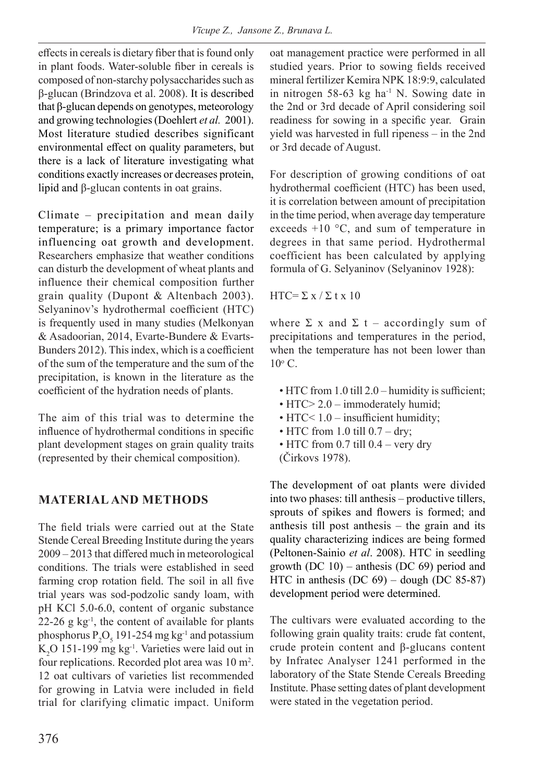effects in cereals is dietary fiber that is found only in plant foods. Water-soluble fiber in cereals is composed of non-starchy polysaccharides such as β-glucan (Brindzova et al. 2008). It is described that β-glucan depends on genotypes, meteorology and growing technologies (Doehlert *et al.* 2001). Most literature studied describes significant environmental effect on quality parameters, but there is a lack of literature investigating what conditions exactly increases or decreases protein, lipid and β-glucan contents in oat grains.

Climate – precipitation and mean daily temperature; is a primary importance factor influencing oat growth and development. Researchers emphasize that weather conditions can disturb the development of wheat plants and influence their chemical composition further grain quality (Dupont & Altenbach 2003). Selyaninov's hydrothermal coefficient (HTC) is frequently used in many studies (Melkonyan & Asadoorian, 2014, Evarte-Bundere & Evarts-Bunders 2012). This index, which is a coefficient of the sum of the temperature and the sum of the precipitation, is known in the literature as the coefficient of the hydration needs of plants.

The aim of this trial was to determine the influence of hydrothermal conditions in specific plant development stages on grain quality traits (represented by their chemical composition).

## **MATERIAL AND METHODS**

The field trials were carried out at the State Stende Cereal Breeding Institute during the years 2009 – 2013 that differed much in meteorological conditions. The trials were established in seed farming crop rotation field. The soil in all five trial years was sod-podzolic sandy loam, with pH KCl 5.0-6.0, content of organic substance 22-26 g  $kg^{-1}$ , the content of available for plants phosphorus  $P_2O_5$  191-254 mg kg<sup>-1</sup> and potassium  $K_2$ O 151-199 mg  $kg^{-1}$ . Varieties were laid out in four replications. Recorded plot area was 10 m<sup>2</sup>. 12 oat cultivars of varieties list recommended for growing in Latvia were included in field trial for clarifying climatic impact. Uniform

oat management practice were performed in all studied years. Prior to sowing fields received mineral fertilizer Kemira NPK 18:9:9, calculated in nitrogen 58-63 kg ha<sup>-1</sup> N. Sowing date in the 2nd or 3rd decade of April considering soil readiness for sowing in a specific year. Grain yield was harvested in full ripeness – in the 2nd or 3rd decade of August.

For description of growing conditions of oat hydrothermal coefficient (HTC) has been used, it is correlation between amount of precipitation in the time period, when average day temperature exceeds +10 °C, and sum of temperature in degrees in that same period. Hydrothermal coefficient has been calculated by applying formula of G. Selyaninov (Selyaninov 1928):

HTC= $\Sigma x / \Sigma t x 10$ 

where  $\Sigma$  x and  $\Sigma$  t – accordingly sum of precipitations and temperatures in the period, when the temperature has not been lower than  $10^{\circ}$  C.

- HTC from 1.0 till 2.0 humidity is sufficient;
- HTC> 2.0 immoderately humid;
- HTC<  $1.0$  insufficient humidity;
- HTC from 1.0 till  $0.7 dry$ ;
- HTC from 0.7 till 0.4 very dry (Čirkovs 1978).
- 

The development of oat plants were divided into two phases: till anthesis – productive tillers, sprouts of spikes and flowers is formed; and anthesis till post anthesis – the grain and its quality characterizing indices are being formed (Peltonen-Sainio *et al*. 2008). HTC in seedling growth (DC 10) – anthesis (DC 69) period and HTC in anthesis (DC 69) – dough (DC 85-87) development period were determined.

The cultivars were evaluated according to the following grain quality traits: crude fat content, crude protein content and β-glucans content by Infratec Analyser 1241 performed in the laboratory of the State Stende Cereals Breeding Institute. Phase setting dates of plant development were stated in the vegetation period.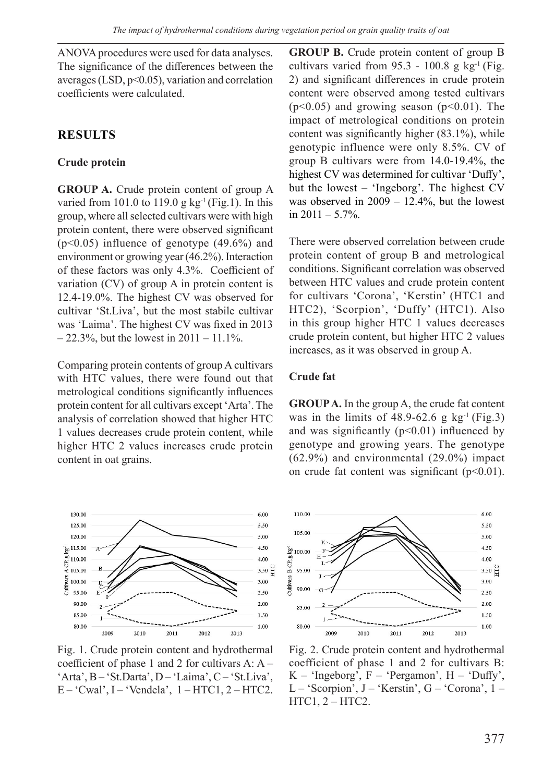ANOVA procedures were used for data analyses. The significance of the differences between the averages (LSD,  $p<0.05$ ), variation and correlation coefficients were calculated.

## **RESULTS**

### **Crude protein**

**GROUP A.** Crude protein content of group A varied from 101.0 to 119.0 g  $kg^{-1}$  (Fig.1). In this group, where all selected cultivars were with high protein content, there were observed significant (p<0.05) influence of genotype (49.6%) and environment or growing year (46.2%). Interaction of these factors was only 4.3%. Coefficient of variation (CV) of group A in protein content is 12.4-19.0%. The highest CV was observed for cultivar 'St.Liva', but the most stabile cultivar was 'Laima'. The highest CV was fixed in 2013  $-22.3\%$ , but the lowest in  $2011 - 11.1\%$ .

Comparing protein contents of group A cultivars with HTC values, there were found out that metrological conditions significantly influences protein content for all cultivars except 'Arta'. The analysis of correlation showed that higher HTC 1 values decreases crude protein content, while higher HTC 2 values increases crude protein content in oat grains.



Fig. 1. Crude protein content and hydrothermal coefficient of phase 1 and 2 for cultivars A: A – 'Arta', B – 'St.Darta', D – 'Laima', C – 'St.Liva',  $E - 'Cwal', I - 'Vendela', 1 - HTC1, 2 - HTC2.$ 

**GROUP B.** Crude protein content of group B cultivars varied from  $95.3 - 100.8$  g kg<sup>-1</sup> (Fig. 2) and significant differences in crude protein content were observed among tested cultivars  $(p<0.05)$  and growing season  $(p<0.01)$ . The impact of metrological conditions on protein content was significantly higher (83.1%), while genotypic influence were only 8.5%. CV of group B cultivars were from 14.0-19.4%, the highest CV was determined for cultivar 'Duffy', but the lowest – 'Ingeborg'. The highest CV was observed in 2009 – 12.4%, but the lowest in  $2011 - 5.7\%$ .

There were observed correlation between crude protein content of group B and metrological conditions. Significant correlation was observed between HTC values and crude protein content for cultivars 'Corona', 'Kerstin' (HTC1 and HTC2), 'Scorpion', 'Duffy' (HTC1). Also in this group higher HTC 1 values decreases crude protein content, but higher HTC 2 values increases, as it was observed in group A.

#### **Crude fat**

**GROUP A.** In the group A, the crude fat content was in the limits of  $48.9-62.6$  g kg<sup>-1</sup> (Fig.3) and was significantly  $(p<0.01)$  influenced by genotype and growing years. The genotype (62.9%) and environmental (29.0%) impact on crude fat content was significant  $(p<0.01)$ .



Fig. 2. Crude protein content and hydrothermal coefficient of phase 1 and 2 for cultivars B:  $K - 'Ingeborg', F - 'Pergamon', H - 'Duffy',$ L – 'Scorpion', J – 'Kerstin', G – 'Corona', 1 –  $HTC1, 2 - HTC2.$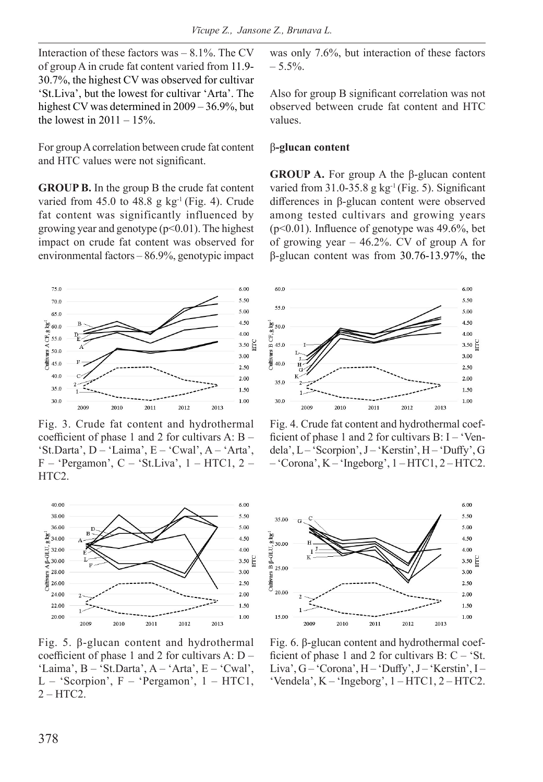Interaction of these factors was – 8.1%. The CV of group A in crude fat content varied from 11.9- 30.7%, the highest CV was observed for cultivar 'St.Liva', but the lowest for cultivar 'Arta'. The highest CV was determined in 2009 – 36.9%, but the lowest in  $2011 - 15\%$ .

For group A correlation between crude fat content and HTC values were not significant.

**GROUP B.** In the group B the crude fat content varied from  $45.0$  to  $48.8$  g kg<sup>-1</sup> (Fig. 4). Crude fat content was significantly influenced by growing year and genotype  $(p<0.01)$ . The highest impact on crude fat content was observed for environmental factors – 86.9%, genotypic impact



Fig. 3. Crude fat content and hydrothermal coefficient of phase 1 and 2 for cultivars A: B – 'St.Darta',  $D - 'Laima'$ ,  $E - 'Cwal'$ ,  $A - 'Arta'$ ,  $F - 'Pergamon', C - 'St.Liva', 1 - HTC1, 2 -$ HTC<sub>2</sub>.



Fig. 5. β-glucan content and hydrothermal coefficient of phase 1 and 2 for cultivars A: D – 'Laima',  $B - 'St.Darta'$ ,  $A - 'Arta'$ ,  $E - 'Cwal'$ , L – 'Scorpion',  $F - 'Pergamon'$ ,  $1 - HTC1$ , 2 – HTC2.

was only 7.6%, but interaction of these factors  $-5.5\%$ .

Also for group B significant correlation was not observed between crude fat content and HTC values.

#### β**-glucan content**

**GROUP A.** For group A the β-glucan content varied from  $31.0-35.8$  g kg<sup>-1</sup> (Fig. 5). Significant differences in β-glucan content were observed among tested cultivars and growing years (p<0.01). Influence of genotype was 49.6%, bet of growing year – 46.2%. CV of group A for β-glucan content was from 30.76-13.97%, the



Fig. 4. Crude fat content and hydrothermal coefficient of phase 1 and 2 for cultivars  $B: I - 'Ven$ dela', L – 'Scorpion', J – 'Kerstin', H – 'Duffy', G  $-$  'Corona', K  $-$  'Ingeborg', 1 – HTC1, 2 – HTC2.



Fig. 6. β-glucan content and hydrothermal coefficient of phase 1 and 2 for cultivars  $B: C - 'St$ . Liva', G – 'Corona', H – 'Duffy', J – 'Kerstin', I – 'Vendela', K – 'Ingeborg', 1 – HTC1, 2 – HTC2.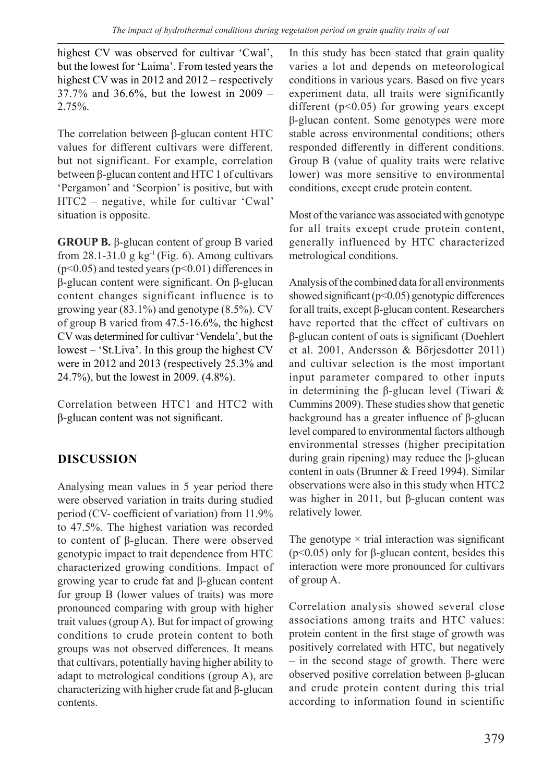highest CV was observed for cultivar 'Cwal', but the lowest for 'Laima'. From tested years the highest CV was in 2012 and 2012 – respectively 37.7% and 36.6%, but the lowest in 2009 – 2.75%.

The correlation between β-glucan content HTC values for different cultivars were different, but not significant. For example, correlation between β-glucan content and HTC 1 of cultivars 'Pergamon' and 'Scorpion' is positive, but with HTC2 – negative, while for cultivar 'Cwal' situation is opposite.

**GROUP B.** β-glucan content of group B varied from  $28.1-31.0$  g kg<sup>-1</sup> (Fig. 6). Among cultivars  $(p<0.05)$  and tested years  $(p<0.01)$  differences in β-glucan content were significant. On β-glucan content changes significant influence is to growing year (83.1%) and genotype (8.5%). CV of group B varied from 47.5-16.6%, the highest CV was determined for cultivar 'Vendela', but the lowest – 'St.Liva'. In this group the highest CV were in 2012 and 2013 (respectively 25.3% and 24.7%), but the lowest in 2009. (4.8%).

Correlation between HTC1 and HTC2 with β-glucan content was not significant.

## **DISCUSSION**

Analysing mean values in 5 year period there were observed variation in traits during studied period (CV- coefficient of variation) from 11.9% to 47.5%. The highest variation was recorded to content of β-glucan. There were observed genotypic impact to trait dependence from HTC characterized growing conditions. Impact of growing year to crude fat and β-glucan content for group B (lower values of traits) was more pronounced comparing with group with higher trait values (group A). But for impact of growing conditions to crude protein content to both groups was not observed differences. It means that cultivars, potentially having higher ability to adapt to metrological conditions (group A), are characterizing with higher crude fat and β-glucan contents.

In this study has been stated that grain quality varies a lot and depends on meteorological conditions in various years. Based on five years experiment data, all traits were significantly different ( $p$ <0.05) for growing years except β-glucan content. Some genotypes were more stable across environmental conditions; others responded differently in different conditions. Group B (value of quality traits were relative lower) was more sensitive to environmental conditions, except crude protein content.

Most of the variance was associated with genotype for all traits except crude protein content, generally influenced by HTC characterized metrological conditions.

Analysis of the combined data for all environments showed significant ( $p$ <0.05) genotypic differences for all traits, except β-glucan content. Researchers have reported that the effect of cultivars on β-glucan content of oats is significant (Doehlert et al. 2001, Andersson & Börjesdotter 2011) and cultivar selection is the most important input parameter compared to other inputs in determining the β-glucan level (Tiwari & Cummins 2009). These studies show that genetic background has a greater influence of β-glucan level compared to environmental factors although environmental stresses (higher precipitation during grain ripening) may reduce the β-glucan content in oats (Brunner & Freed 1994). Similar observations were also in this study when HTC2 was higher in 2011, but β-glucan content was relatively lower.

The genotype  $\times$  trial interaction was significant (p<0.05) only for β-glucan content, besides this interaction were more pronounced for cultivars of group A.

Correlation analysis showed several close associations among traits and HTC values: protein content in the first stage of growth was positively correlated with HTC, but negatively – in the second stage of growth. There were observed positive correlation between β-glucan and crude protein content during this trial according to information found in scientific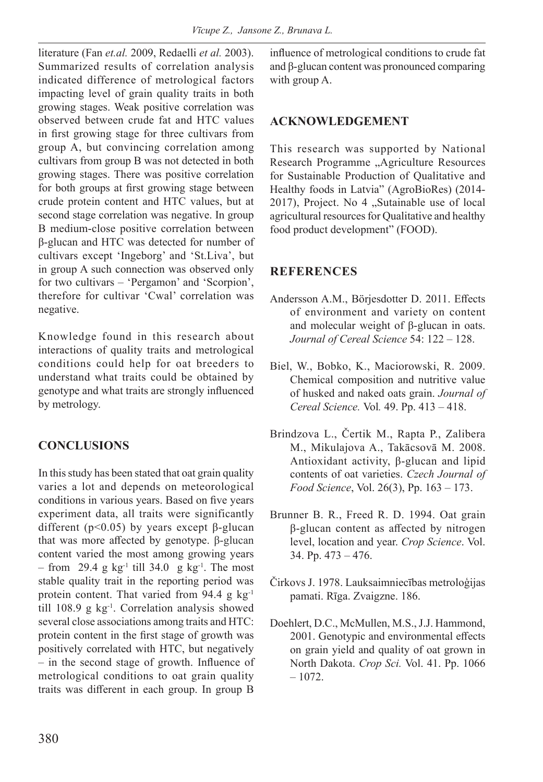literature (Fan *et.al.* 2009, Redaelli *et al.* 2003). Summarized results of correlation analysis indicated difference of metrological factors impacting level of grain quality traits in both growing stages. Weak positive correlation was observed between crude fat and HTC values in first growing stage for three cultivars from group A, but convincing correlation among cultivars from group B was not detected in both growing stages. There was positive correlation for both groups at first growing stage between crude protein content and HTC values, but at second stage correlation was negative. In group B medium-close positive correlation between β-glucan and HTC was detected for number of cultivars except 'Ingeborg' and 'St.Liva', but in group A such connection was observed only for two cultivars – 'Pergamon' and 'Scorpion', therefore for cultivar 'Cwal' correlation was negative.

Knowledge found in this research about interactions of quality traits and metrological conditions could help for oat breeders to understand what traits could be obtained by genotype and what traits are strongly influenced by metrology.

### **CONCLUSIONS**

In this study has been stated that oat grain quality varies a lot and depends on meteorological conditions in various years. Based on five years experiment data, all traits were significantly different ( $p$ <0.05) by years except β-glucan that was more affected by genotype. β-glucan content varied the most among growing years – from 29.4 g kg<sup>-1</sup> till 34.0 g kg<sup>-1</sup>. The most stable quality trait in the reporting period was protein content. That varied from 94.4 g kg<sup>-1</sup> till 108.9 g kg-1. Correlation analysis showed several close associations among traits and HTC: protein content in the first stage of growth was positively correlated with HTC, but negatively – in the second stage of growth. Influence of metrological conditions to oat grain quality traits was different in each group. In group B

influence of metrological conditions to crude fat and β-glucan content was pronounced comparing with group A.

#### **ACKNOWLEDGEMENT**

This research was supported by National Research Programme "Agriculture Resources for Sustainable Production of Qualitative and Healthy foods in Latvia" (AgroBioRes) (2014- 2017), Project. No 4 "Sutainable use of local agricultural resources for Qualitative and healthy food product development" (FOOD).

#### **REFERENCES**

- Andersson A.M., Börjesdotter D. 2011. Effects of environment and variety on content and molecular weight of β-glucan in oats. *Journal of Cereal Science* 54: 122 – 128.
- Biel, W., Bobko, K., Maciorowski, R. 2009. Chemical composition and nutritive value of husked and naked oats grain. *Journal of Cereal Science.* Vol*.* 49. Pp. 413 – 418.
- Brindzova L., Čertik M., Rapta P., Zalibera M., Mikulajova A., Takācsovā M. 2008. Antioxidant activity, β-glucan and lipid contents of oat varieties. *Czech Journal of Food Science*, Vol. 26(3), Pp. 163 – 173.
- Brunner B. R., Freed R. D. 1994. Oat grain β-glucan content as affected by nitrogen level, location and year. *Crop Science*. Vol. 34. Pp. 473 – 476.
- Čirkovs J. 1978. Lauksaimniecības metroloģijas pamati. Rīga. Zvaigzne. 186.
- Doehlert, D.C., McMullen, M.S., J.J. Hammond, 2001. Genotypic and environmental effects on grain yield and quality of oat grown in North Dakota. *Crop Sci.* Vol. 41. Pp. 1066 – 1072.